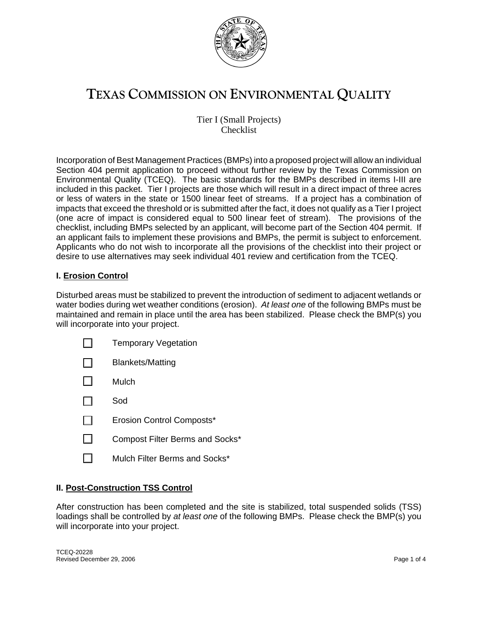

# **TEXAS COMMISSION ON ENVIRONMENTAL QUALITY**

Tier I (Small Projects) Checklist

Incorporation of Best Management Practices (BMPs) into a proposed project will allow an individual Section 404 permit application to proceed without further review by the Texas Commission on Environmental Quality (TCEQ). The basic standards for the BMPs described in items I-III are included in this packet. Tier I projects are those which will result in a direct impact of three acres or less of waters in the state or 1500 linear feet of streams. If a project has a combination of impacts that exceed the threshold or is submitted after the fact, it does not qualify as a Tier I project (one acre of impact is considered equal to 500 linear feet of stream). The provisions of the checklist, including BMPs selected by an applicant, will become part of the Section 404 permit. If an applicant fails to implement these provisions and BMPs, the permit is subject to enforcement. Applicants who do not wish to incorporate all the provisions of the checklist into their project or desire to use alternatives may seek individual 401 review and certification from the TCEQ.

## **I. Erosion Control**

Disturbed areas must be stabilized to prevent the introduction of sediment to adjacent wetlands or water bodies during wet weather conditions (erosion). *At least one* of the following BMPs must be maintained and remain in place until the area has been stabilized. Please check the BMP(s) you will incorporate into your project.

| <b>Temporary Vegetation</b>            |
|----------------------------------------|
| Blankets/Matting                       |
| Mulch                                  |
| Sod                                    |
| <b>Erosion Control Composts*</b>       |
| <b>Compost Filter Berms and Socks*</b> |
| Mulch Filter Berms and Socks*          |

#### **II. Post-Construction TSS Control**

After construction has been completed and the site is stabilized, total suspended solids (TSS) loadings shall be controlled by *at least one* of the following BMPs. Please check the BMP(s) you will incorporate into your project.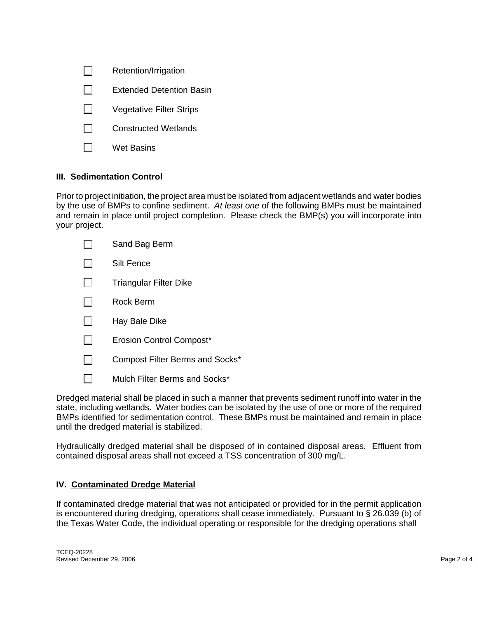| Retention/Irrigation |  |
|----------------------|--|
|----------------------|--|

- $\Box$  Extended Detention Basin
- $\Box$  Vegetative Filter Strips
- $\Box$  Constructed Wetlands
- $\Box$  Wet Basins

## **III. Sedimentation Control**

Prior to project initiation, the project area must be isolated from adjacent wetlands and water bodies by the use of BMPs to confine sediment. *At least one* of the following BMPs must be maintained and remain in place until project completion. Please check the BMP(s) you will incorporate into your project.

| Sand Bag Berm                          |
|----------------------------------------|
| Silt Fence                             |
| <b>Triangular Filter Dike</b>          |
| Rock Berm                              |
| Hay Bale Dike                          |
| <b>Erosion Control Compost*</b>        |
| <b>Compost Filter Berms and Socks*</b> |
| Mulch Filter Berms and Socks*          |

Dredged material shall be placed in such a manner that prevents sediment runoff into water in the state, including wetlands. Water bodies can be isolated by the use of one or more of the required BMPs identified for sedimentation control. These BMPs must be maintained and remain in place until the dredged material is stabilized.

Hydraulically dredged material shall be disposed of in contained disposal areas. Effluent from contained disposal areas shall not exceed a TSS concentration of 300 mg/L.

#### **IV. Contaminated Dredge Material**

If contaminated dredge material that was not anticipated or provided for in the permit application is encountered during dredging, operations shall cease immediately. Pursuant to § 26.039 (b) of the Texas Water Code, the individual operating or responsible for the dredging operations shall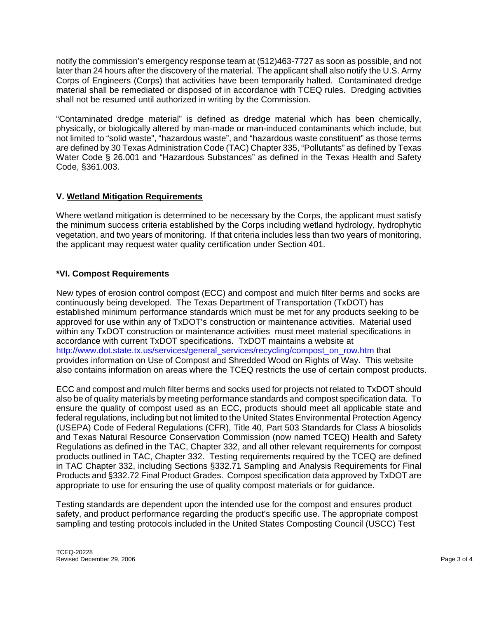notify the commission's emergency response team at (512)463-7727 as soon as possible, and not later than 24 hours after the discovery of the material. The applicant shall also notify the U.S. Army Corps of Engineers (Corps) that activities have been temporarily halted. Contaminated dredge material shall be remediated or disposed of in accordance with TCEQ rules. Dredging activities shall not be resumed until authorized in writing by the Commission.

"Contaminated dredge material" is defined as dredge material which has been chemically, physically, or biologically altered by man-made or man-induced contaminants which include, but not limited to "solid waste", "hazardous waste", and "hazardous waste constituent" as those terms are defined by 30 Texas Administration Code (TAC) Chapter 335, "Pollutants" as defined by Texas Water Code § 26.001 and "Hazardous Substances" as defined in the Texas Health and Safety Code, §361.003.

## **V. Wetland Mitigation Requirements**

Where wetland mitigation is determined to be necessary by the Corps, the applicant must satisfy the minimum success criteria established by the Corps including wetland hydrology, hydrophytic vegetation, and two years of monitoring. If that criteria includes less than two years of monitoring, the applicant may request water quality certification under Section 401.

## **\*VI. Compost Requirements**

New types of erosion control compost (ECC) and compost and mulch filter berms and socks are continuously being developed. The Texas Department of Transportation (TxDOT) has established minimum performance standards which must be met for any products seeking to be approved for use within any of TxDOT's construction or maintenance activities. Material used within any TxDOT construction or maintenance activities must meet material specifications in accordance with current TxDOT specifications. TxDOT maintains a website at [http://www.dot.state.tx.us/services/general\\_services/recycling/compost\\_on\\_row.htm](http://www.dot.state.tx.us/services/general_services/recycling/compost_on_row.htm) that provides information on Use of Compost and Shredded Wood on Rights of Way. This website also contains information on areas where the TCEQ restricts the use of certain compost products.

ECC and compost and mulch filter berms and socks used for projects not related to TxDOT should also be of quality materials by meeting performance standards and compost specification data. To ensure the quality of compost used as an ECC, products should meet all applicable state and federal regulations, including but not limited to the United States Environmental Protection Agency (USEPA) Code of Federal Regulations (CFR), Title 40, Part 503 Standards for Class A biosolids and Texas Natural Resource Conservation Commission (now named TCEQ) Health and Safety Regulations as defined in the TAC, Chapter 332, and all other relevant requirements for compost products outlined in TAC, Chapter 332. Testing requirements required by the TCEQ are defined in TAC Chapter 332, including Sections §332.71 Sampling and Analysis Requirements for Final Products and §332.72 Final Product Grades. Compost specification data approved by TxDOT are appropriate to use for ensuring the use of quality compost materials or for guidance.

Testing standards are dependent upon the intended use for the compost and ensures product safety, and product performance regarding the product's specific use. The appropriate compost sampling and testing protocols included in the United States Composting Council (USCC) Test